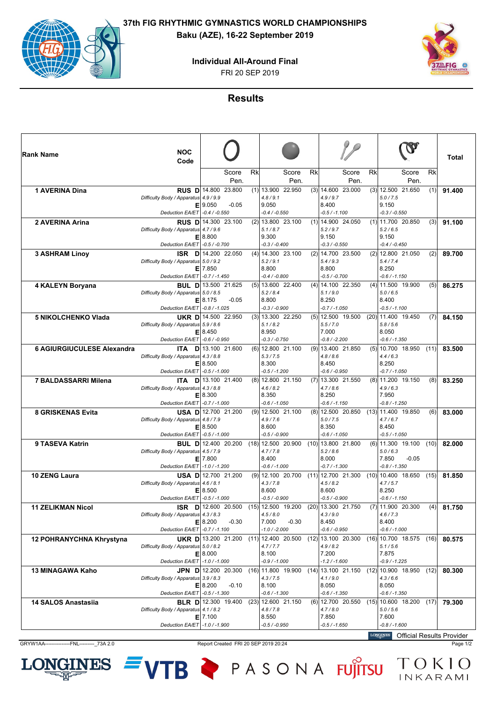**37th FIG RHYTHMIC GYMNASTICS WORLD CHAMPIONSHIPS Baku (AZE), 16-22 September 2019**

**Individual All-Around Final**



FRI 20 SEP 2019

**Results**

| ∣Rank Name                  | <b>NOC</b><br>Code                                                                         |                                                                     |            |                                                                                 |               |    |                                                                                 |    |                                                                                                       |      | Total  |
|-----------------------------|--------------------------------------------------------------------------------------------|---------------------------------------------------------------------|------------|---------------------------------------------------------------------------------|---------------|----|---------------------------------------------------------------------------------|----|-------------------------------------------------------------------------------------------------------|------|--------|
|                             |                                                                                            | Score                                                               | Rk<br>Pen. |                                                                                 | Score<br>Pen. | Rk | Score<br>Pen.                                                                   | Rk | Score<br>Pen.                                                                                         | Rk   |        |
| <b>1 AVERINA Dina</b>       | Difficulty Body / Apparatus 4.9 / 9.9                                                      | <b>RUS D</b> 14.800 23.800<br>E 9.050<br>$-0.05$                    |            | $(1)$ 13.900 22.950<br>4.8 / 9.1<br>9.050                                       |               |    | $(3)$ 14.600 23.000<br>4.9 / 9.7<br>8.400                                       |    | $(3)$ 12.500 21.650<br>5.0 / 7.5<br>9.150                                                             | (1)  | 91.400 |
|                             | Deduction EA/ET - 0.4 / -0.550                                                             |                                                                     |            | $-0.4 / -0.550$                                                                 |               |    | $-0.5 / -1.100$                                                                 |    | $-0.3 / -0.550$                                                                                       |      |        |
| 2 AVERINA Arina             | Difficulty Body / Apparatus 4.7 / 9.6<br>Е<br><b>Deduction EA/ET</b>                       | RUS D 14.300 23.100<br>8.800<br>$-0.5 / -0.700$                     |            | $(2)$   13.800 23.100<br>5.1/8.7<br>9.300<br>$-0.3 / -0.400$                    |               |    | $(1)$   14.900 24.050<br>5.2 / 9.7<br>9.150<br>$-0.3 / -0.550$                  |    | $(1)$   11.700 20.850<br>5.2/6.5<br>9.150<br>$-0.4 / -0.450$                                          | (3)  | 91.100 |
| <b>3 ASHRAM Linoy</b>       | <b>ISR</b><br>DI<br>Difficulty Body / Apparatus 5.0 / 9.2                                  | 14.200 22.050<br>$E$   7.850                                        |            | $(4)$ 14.300 23.100<br>5.2 / 9.1<br>8.800                                       |               |    | $(2)$ 14.700 23.500<br>5.4/9.3<br>8.800                                         |    | $(2)$   12.800 21.050<br>5.4/7.4<br>8.250                                                             | (2)  | 89.700 |
| 4 KALEYN Boryana            | Deduction EA/ET - 0.7 / -1.450<br>Difficulty Body / Apparatus 5.0 / 8.5<br>Deduction EA/ET | <b>BUL D</b> 13.500 21.625<br>E 8.175<br>$-0.05$<br>$-0.8 / -1.025$ |            | $-0.4 / -0.800$<br>$(5)$ 13.600 22.400<br>5.2 / 8.4<br>8.800<br>$-0.3 / -0.900$ |               |    | $-0.5 / -0.700$<br>$(4)$ 14.100 22.350<br>5.1 / 9.0<br>8.250<br>$-0.7 / -1.050$ |    | $-0.6 / -1.150$<br>$(4)$   11.500 19.900<br>5.0 / 6.5<br>8.400<br>$-0.5 / -1.100$                     | (5)  | 86.275 |
| <b>5 NIKOLCHENKO Vlada</b>  | UKR D<br>Difficulty Body / Apparatus 5.9 / 8.6<br>Е<br>Deduction EA/ET                     | 14.500 22.950<br>8.450<br>$-0.6/ -0.950$                            |            | $(3)$ 13.300 22.250<br>5.1/8.2<br>8.950<br>$-0.3 / -0.750$                      |               |    | $(5)$   12.500 19.500<br>5.5 / 7.0<br>7.000<br>$-0.8/ -2.200$                   |    | $(20)$   11.400 19.450<br>5.8 / 5.6<br>8.050<br>-0.6 / -1.350                                         | (7)  | 84.150 |
| 6 AGIURGIUCULESE Alexandra  | ITA.<br>Difficulty Body / Apparatus 4.3 / 8.8<br>Е<br>Deduction EA/ET - 0.5 / -1.000       | $D$   13.100 21.600<br>8.500                                        |            | $(6)$   12.800 21.100<br>5.3 / 7.5<br>8.300<br>$-0.5 / -1.200$                  |               |    | $(9)$ 13.400 21.850<br>4.8/8.6<br>8.450<br>$-0.6 / -0.950$                      |    | $(5)$   10.700 18.950<br>4.4/6.3<br>8.250<br>$-0.7 / -1.050$                                          | (11) | 83.500 |
| <b>7 BALDASSARRI Milena</b> | Difficulty Body / Apparatus 4.3 / 8.8<br>Deduction EA/ET                                   | ITA D 13.100 21.400<br>E 8.300<br>$-0.7/ -1.000$                    |            | $(8)$ 12.800 21.150<br>4.6 / 8.2<br>8.350<br>$-0.6 / -1.050$                    |               |    | $(7)$ 13.300 21.550<br>4.7/8.6<br>8.250<br>$-0.6 / -1.150$                      |    | $(8)$   11.200 19.150<br>4.9/6.3<br>7.950<br>$-0.8 / -1.250$                                          | (8)  | 83.250 |
| <b>8 GRISKENAS Evita</b>    | <b>USAD</b><br>Difficulty Body / Apparatus 4.8 / 7.9<br>Е<br>Deduction EA/ET               | 12.700 21.200<br>8.500<br>$-0.5 / -1.000$                           |            | $(9)$   12.500 21.100<br>4.9 / 7.6<br>8.600<br>$-0.5 / -0.900$                  |               |    | $(8)$   12.500 20.850<br>5.0 / 7.5<br>8.350<br>$-0.6 / -1.050$                  |    | $(13)$   11.400 19.850<br>4.7/6.7<br>8.450<br>$-0.5 / -1.050$                                         | (6)  | 83.000 |
| 9 TASEVA Katrin             | Difficulty Body / Apparatus 4.5 / 7.9<br>Е<br>Deduction EA/ET -1.0 / -1.200                | <b>BUL D</b> 12.400 20.200<br>7.800                                 |            | $(18)$ 12.500 20.900<br>4.7 / 7.8<br>8.400<br>$-0.6 / -1.000$                   |               |    | $(10)$ 13.800 21.800<br>5.2 / 8.6<br>8.000<br>$-0.7 / -1.300$                   |    | $(6)$   11.300 19.100<br>5.0/6.3<br>$-0.05$<br>7.850<br>$-0.8 / -1.350$                               | (10) | 82.000 |
| <b>10 ZENG Laura</b>        | Difficulty Body / Apparatus 4.6 / 8.1<br>Deduction EA/ET - 0.5 / -1.000                    | USA D 12.700 21.200<br>E 8.500                                      |            | $(9)$ 12.100 20.700<br>4.3 / 7.8<br>8.600<br>$-0.5 / -0.900$                    |               |    | $(11)$   12.700 21.300<br>4.5/8.2<br>8.600<br>$-0.5 / -0.900$                   |    | $(10)$   10.400 18.650<br>4.7/5.7<br>8.250<br>$-0.6 / -1.150$                                         | (15) | 81.850 |
| <b>11 ZELIKMAN Nicol</b>    | Difficulty Body / Apparatus 4.3 / 8.3<br>Deduction EA/ET   -0.7 / -1.100                   | ISR D 12.600 20.500<br>E 8.200<br>$-0.30$                           |            | $(15)$ 12.500 19.200<br>4.5/8.0<br>7.000<br>$-1.0 / -2.000$                     | $-0.30$       |    | (20) 13.300 21.750<br>4.3/9.0<br>8.450<br>$-0.6 / -0.950$                       |    | $(7)$   11.900 20.300<br>4.6 / 7.3<br>8.400<br>$-0.6 / -1.000$                                        | (4)  | 81.750 |
| 12 POHRANYCHNA Khrystyna    | Difficulty Body / Apparatus 5.0 / 8.2<br>Deduction EA/ET   -1.0 / -1.000                   | <b>UKR D</b> 13.200 21.200<br>E 8.000                               |            | $(11)$ 12.400 20.500<br>4.7 / 7.7<br>8.100<br>-0.9 / -1.000                     |               |    | $(12)$ 13.100 20.300<br>4.9/8.2<br>7.200<br>$-1.2 / -1.600$                     |    | $(16)$ 10.700 18.575<br>5.1 / 5.6<br>7.875<br>$-0.9 / -1.225$                                         | (16) | 80.575 |
| 13 MINAGAWA Kaho            | Difficulty Body / Apparatus 3.9 / 8.3<br>Deduction EA/ET - 0.5 / -1.300                    | <b>JPN D</b> 12.200 20.300<br>E 8.200<br>$-0.10$                    |            | $(16)$   11.800 19.900<br>4.3 / 7.5<br>8.100<br>$-0.6 / -1.300$                 |               |    | $(14)$   13.100 21.150<br>4.1/9.0<br>8.050<br>$-0.6 / -1.350$                   |    | $(12)$ 10.900 18.950<br>4.3/6.6<br>8.050<br>$-0.6 / -1.350$                                           | (12) | 80.300 |
| 14 SALOS Anastasiia         | Difficulty Body / Apparatus 4.1 / 8.2<br>Deduction EA/ET -1.0 / -1.900                     | <b>BLR D</b> 12.300 19.400<br>$E$   7.100                           |            | $(23)$   12.600 21.150<br>4.8 / 7.8<br>8.550<br>-0.5 / -0.950                   |               |    | $(6)$   12.700 20.550<br>4.7/8.0<br>7.850<br>-0.5 / -1.650                      |    | $(15)$   10.600 18.200<br>5.0 / 5.6<br>7.600<br>$-0.8 / -1.600$<br>LONGINES Official Populto Provider | (17) | 79.300 |

GRYW1AA---------------FNL---------\_73A 2.0 Report Created FRI 20 SEP 2019 20:24 Page 1/2

LON

**INES** 

Official Results Provider

VTB PASONA FUJITSU TOKIO